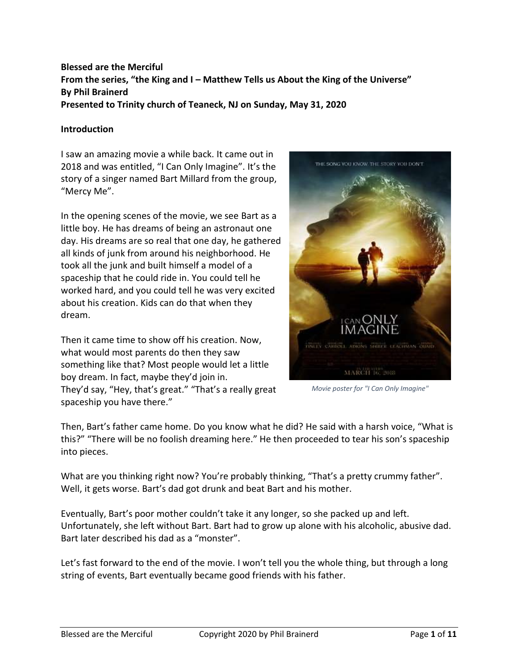# **Blessed are the Merciful From the series, "the King and I – Matthew Tells us About the King of the Universe" By Phil Brainerd Presented to Trinity church of Teaneck, NJ on Sunday, May 31, 2020**

## **Introduction**

I saw an amazing movie a while back. It came out in 2018 and was entitled, "I Can Only Imagine". It's the story of a singer named Bart Millard from the group, "Mercy Me".

In the opening scenes of the movie, we see Bart as a little boy. He has dreams of being an astronaut one day. His dreams are so real that one day, he gathered all kinds of junk from around his neighborhood. He took all the junk and built himself a model of a spaceship that he could ride in. You could tell he worked hard, and you could tell he was very excited about his creation. Kids can do that when they dream.

Then it came time to show off his creation. Now, what would most parents do then they saw something like that? Most people would let a little boy dream. In fact, maybe they'd join in. They'd say, "Hey, that's great." "That's a really great spaceship you have there."



*Movie poster for "I Can Only Imagine"*

Then, Bart's father came home. Do you know what he did? He said with a harsh voice, "What is this?" "There will be no foolish dreaming here." He then proceeded to tear his son's spaceship into pieces.

What are you thinking right now? You're probably thinking, "That's a pretty crummy father". Well, it gets worse. Bart's dad got drunk and beat Bart and his mother.

Eventually, Bart's poor mother couldn't take it any longer, so she packed up and left. Unfortunately, she left without Bart. Bart had to grow up alone with his alcoholic, abusive dad. Bart later described his dad as a "monster".

Let's fast forward to the end of the movie. I won't tell you the whole thing, but through a long string of events, Bart eventually became good friends with his father.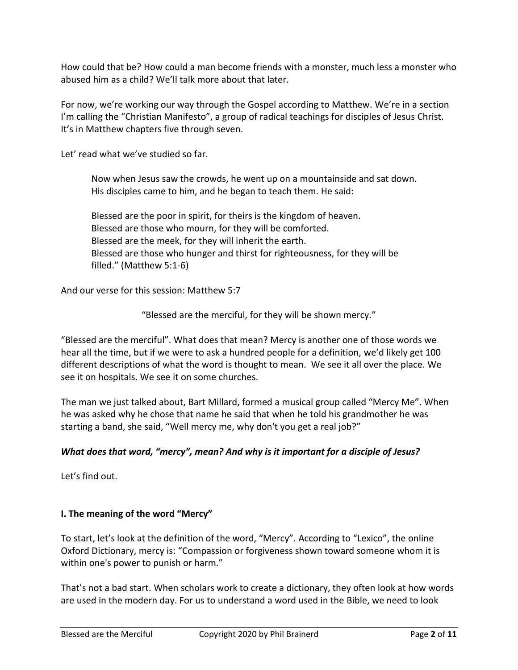How could that be? How could a man become friends with a monster, much less a monster who abused him as a child? We'll talk more about that later.

For now, we're working our way through the Gospel according to Matthew. We're in a section I'm calling the "Christian Manifesto", a group of radical teachings for disciples of Jesus Christ. It's in Matthew chapters five through seven.

Let' read what we've studied so far.

Now when Jesus saw the crowds, he went up on a mountainside and sat down. His disciples came to him, and he began to teach them. He said:

Blessed are the poor in spirit, for theirs is the kingdom of heaven. Blessed are those who mourn, for they will be comforted. Blessed are the meek, for they will inherit the earth. Blessed are those who hunger and thirst for righteousness, for they will be filled." (Matthew 5:1-6)

And our verse for this session: Matthew 5:7

"Blessed are the merciful, for they will be shown mercy."

"Blessed are the merciful". What does that mean? Mercy is another one of those words we hear all the time, but if we were to ask a hundred people for a definition, we'd likely get 100 different descriptions of what the word is thought to mean. We see it all over the place. We see it on hospitals. We see it on some churches.

The man we just talked about, Bart Millard, formed a musical group called "Mercy Me". When he was asked why he chose that name he said that when he told his grandmother he was starting a band, she said, "Well mercy me, why don't you get a real job?"

## *What does that word, "mercy", mean? And why is it important for a disciple of Jesus?*

Let's find out.

# **I. The meaning of the word "Mercy"**

To start, let's look at the definition of the word, "Mercy". According to "Lexico", the online Oxford Dictionary, mercy is: "Compassion or forgiveness shown toward someone whom it is within one's power to punish or harm."

That's not a bad start. When scholars work to create a dictionary, they often look at how words are used in the modern day. For us to understand a word used in the Bible, we need to look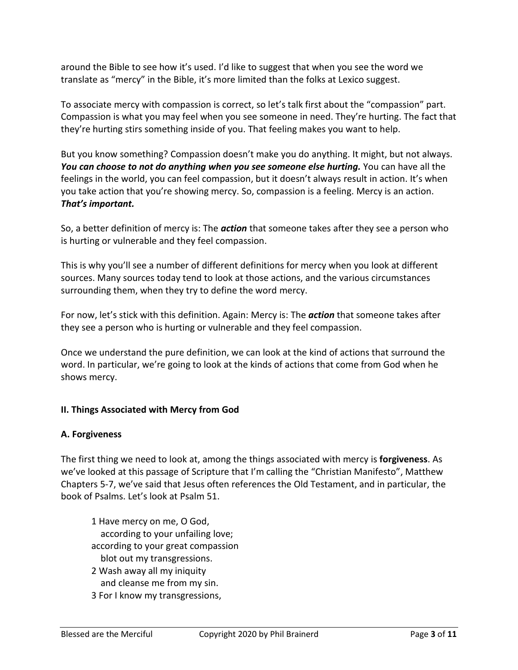around the Bible to see how it's used. I'd like to suggest that when you see the word we translate as "mercy" in the Bible, it's more limited than the folks at Lexico suggest.

To associate mercy with compassion is correct, so let's talk first about the "compassion" part. Compassion is what you may feel when you see someone in need. They're hurting. The fact that they're hurting stirs something inside of you. That feeling makes you want to help.

But you know something? Compassion doesn't make you do anything. It might, but not always. *You can choose to not do anything when you see someone else hurting.* You can have all the feelings in the world, you can feel compassion, but it doesn't always result in action. It's when you take action that you're showing mercy. So, compassion is a feeling. Mercy is an action. *That's important.*

So, a better definition of mercy is: The *action* that someone takes after they see a person who is hurting or vulnerable and they feel compassion.

This is why you'll see a number of different definitions for mercy when you look at different sources. Many sources today tend to look at those actions, and the various circumstances surrounding them, when they try to define the word mercy.

For now, let's stick with this definition. Again: Mercy is: The *action* that someone takes after they see a person who is hurting or vulnerable and they feel compassion.

Once we understand the pure definition, we can look at the kind of actions that surround the word. In particular, we're going to look at the kinds of actions that come from God when he shows mercy.

# **II. Things Associated with Mercy from God**

# **A. Forgiveness**

The first thing we need to look at, among the things associated with mercy is **forgiveness**. As we've looked at this passage of Scripture that I'm calling the "Christian Manifesto", Matthew Chapters 5-7, we've said that Jesus often references the Old Testament, and in particular, the book of Psalms. Let's look at Psalm 51.

1 Have mercy on me, O God, according to your unfailing love; according to your great compassion blot out my transgressions. 2 Wash away all my iniquity

- and cleanse me from my sin.
- 3 For I know my transgressions,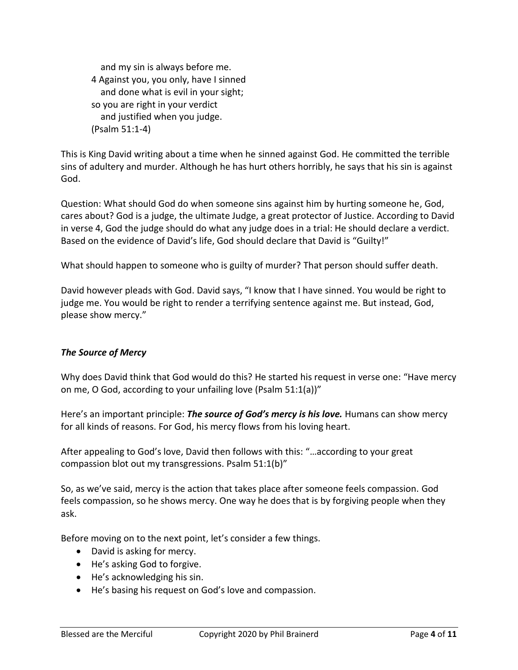and my sin is always before me. 4 Against you, you only, have I sinned and done what is evil in your sight; so you are right in your verdict and justified when you judge. (Psalm 51:1-4)

This is King David writing about a time when he sinned against God. He committed the terrible sins of adultery and murder. Although he has hurt others horribly, he says that his sin is against God.

Question: What should God do when someone sins against him by hurting someone he, God, cares about? God is a judge, the ultimate Judge, a great protector of Justice. According to David in verse 4, God the judge should do what any judge does in a trial: He should declare a verdict. Based on the evidence of David's life, God should declare that David is "Guilty!"

What should happen to someone who is guilty of murder? That person should suffer death.

David however pleads with God. David says, "I know that I have sinned. You would be right to judge me. You would be right to render a terrifying sentence against me. But instead, God, please show mercy."

## *The Source of Mercy*

Why does David think that God would do this? He started his request in verse one: "Have mercy on me, O God, according to your unfailing love (Psalm 51:1(a))"

Here's an important principle: *The source of God's mercy is his love.* Humans can show mercy for all kinds of reasons. For God, his mercy flows from his loving heart.

After appealing to God's love, David then follows with this: "…according to your great compassion blot out my transgressions. Psalm 51:1(b)"

So, as we've said, mercy is the action that takes place after someone feels compassion. God feels compassion, so he shows mercy. One way he does that is by forgiving people when they ask.

Before moving on to the next point, let's consider a few things.

- David is asking for mercy.
- He's asking God to forgive.
- He's acknowledging his sin.
- He's basing his request on God's love and compassion.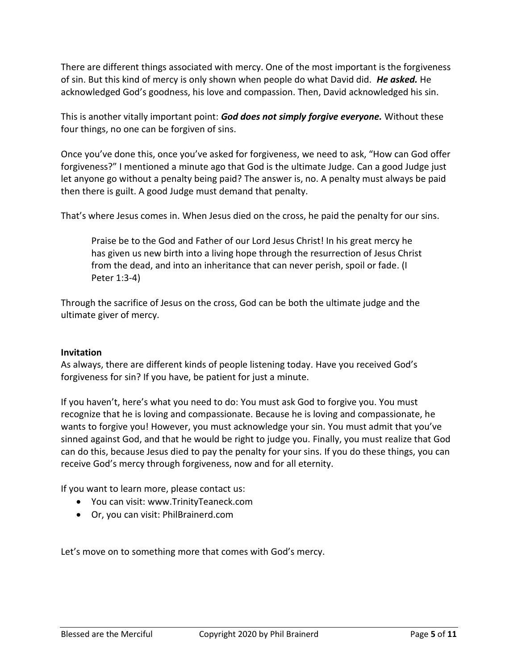There are different things associated with mercy. One of the most important is the forgiveness of sin. But this kind of mercy is only shown when people do what David did. *He asked.* He acknowledged God's goodness, his love and compassion. Then, David acknowledged his sin.

This is another vitally important point: *God does not simply forgive everyone.* Without these four things, no one can be forgiven of sins.

Once you've done this, once you've asked for forgiveness, we need to ask, "How can God offer forgiveness?" I mentioned a minute ago that God is the ultimate Judge. Can a good Judge just let anyone go without a penalty being paid? The answer is, no. A penalty must always be paid then there is guilt. A good Judge must demand that penalty.

That's where Jesus comes in. When Jesus died on the cross, he paid the penalty for our sins.

Praise be to the God and Father of our Lord Jesus Christ! In his great mercy he has given us new birth into a living hope through the resurrection of Jesus Christ from the dead, and into an inheritance that can never perish, spoil or fade. (I Peter 1:3-4)

Through the sacrifice of Jesus on the cross, God can be both the ultimate judge and the ultimate giver of mercy.

## **Invitation**

As always, there are different kinds of people listening today. Have you received God's forgiveness for sin? If you have, be patient for just a minute.

If you haven't, here's what you need to do: You must ask God to forgive you. You must recognize that he is loving and compassionate. Because he is loving and compassionate, he wants to forgive you! However, you must acknowledge your sin. You must admit that you've sinned against God, and that he would be right to judge you. Finally, you must realize that God can do this, because Jesus died to pay the penalty for your sins. If you do these things, you can receive God's mercy through forgiveness, now and for all eternity.

If you want to learn more, please contact us:

- You can visit: www.TrinityTeaneck.com
- Or, you can visit: PhilBrainerd.com

Let's move on to something more that comes with God's mercy.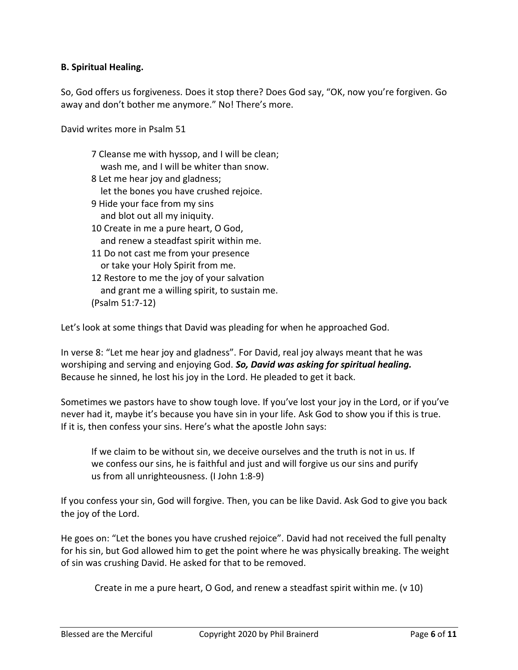## **B. Spiritual Healing.**

So, God offers us forgiveness. Does it stop there? Does God say, "OK, now you're forgiven. Go away and don't bother me anymore." No! There's more.

David writes more in Psalm 51

7 Cleanse me with hyssop, and I will be clean; wash me, and I will be whiter than snow. 8 Let me hear joy and gladness; let the bones you have crushed rejoice. 9 Hide your face from my sins and blot out all my iniquity. 10 Create in me a pure heart, O God, and renew a steadfast spirit within me. 11 Do not cast me from your presence or take your Holy Spirit from me. 12 Restore to me the joy of your salvation and grant me a willing spirit, to sustain me. (Psalm 51:7-12)

Let's look at some things that David was pleading for when he approached God.

In verse 8: "Let me hear joy and gladness". For David, real joy always meant that he was worshiping and serving and enjoying God. *So, David was asking for spiritual healing.* Because he sinned, he lost his joy in the Lord. He pleaded to get it back.

Sometimes we pastors have to show tough love. If you've lost your joy in the Lord, or if you've never had it, maybe it's because you have sin in your life. Ask God to show you if this is true. If it is, then confess your sins. Here's what the apostle John says:

If we claim to be without sin, we deceive ourselves and the truth is not in us. If we confess our sins, he is faithful and just and will forgive us our sins and purify us from all unrighteousness. (I John 1:8-9)

If you confess your sin, God will forgive. Then, you can be like David. Ask God to give you back the joy of the Lord.

He goes on: "Let the bones you have crushed rejoice". David had not received the full penalty for his sin, but God allowed him to get the point where he was physically breaking. The weight of sin was crushing David. He asked for that to be removed.

Create in me a pure heart, O God, and renew a steadfast spirit within me. (v 10)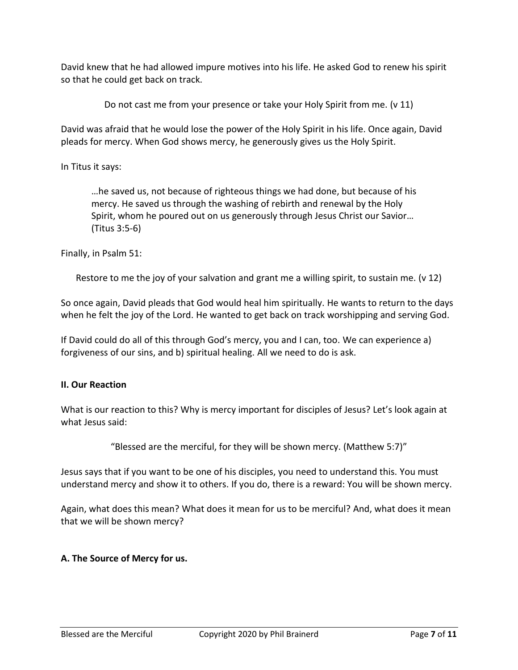David knew that he had allowed impure motives into his life. He asked God to renew his spirit so that he could get back on track.

Do not cast me from your presence or take your Holy Spirit from me. (v 11)

David was afraid that he would lose the power of the Holy Spirit in his life. Once again, David pleads for mercy. When God shows mercy, he generously gives us the Holy Spirit.

In Titus it says:

…he saved us, not because of righteous things we had done, but because of his mercy. He saved us through the washing of rebirth and renewal by the Holy Spirit, whom he poured out on us generously through Jesus Christ our Savior… (Titus 3:5-6)

Finally, in Psalm 51:

Restore to me the joy of your salvation and grant me a willing spirit, to sustain me. (v 12)

So once again, David pleads that God would heal him spiritually. He wants to return to the days when he felt the joy of the Lord. He wanted to get back on track worshipping and serving God.

If David could do all of this through God's mercy, you and I can, too. We can experience a) forgiveness of our sins, and b) spiritual healing. All we need to do is ask.

## **II. Our Reaction**

What is our reaction to this? Why is mercy important for disciples of Jesus? Let's look again at what Jesus said:

"Blessed are the merciful, for they will be shown mercy. (Matthew 5:7)"

Jesus says that if you want to be one of his disciples, you need to understand this. You must understand mercy and show it to others. If you do, there is a reward: You will be shown mercy.

Again, what does this mean? What does it mean for us to be merciful? And, what does it mean that we will be shown mercy?

## **A. The Source of Mercy for us.**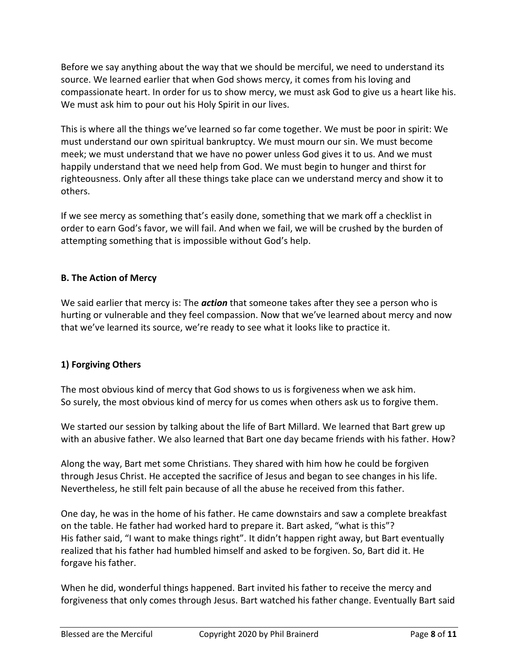Before we say anything about the way that we should be merciful, we need to understand its source. We learned earlier that when God shows mercy, it comes from his loving and compassionate heart. In order for us to show mercy, we must ask God to give us a heart like his. We must ask him to pour out his Holy Spirit in our lives.

This is where all the things we've learned so far come together. We must be poor in spirit: We must understand our own spiritual bankruptcy. We must mourn our sin. We must become meek; we must understand that we have no power unless God gives it to us. And we must happily understand that we need help from God. We must begin to hunger and thirst for righteousness. Only after all these things take place can we understand mercy and show it to others.

If we see mercy as something that's easily done, something that we mark off a checklist in order to earn God's favor, we will fail. And when we fail, we will be crushed by the burden of attempting something that is impossible without God's help.

# **B. The Action of Mercy**

We said earlier that mercy is: The *action* that someone takes after they see a person who is hurting or vulnerable and they feel compassion. Now that we've learned about mercy and now that we've learned its source, we're ready to see what it looks like to practice it.

# **1) Forgiving Others**

The most obvious kind of mercy that God shows to us is forgiveness when we ask him. So surely, the most obvious kind of mercy for us comes when others ask us to forgive them.

We started our session by talking about the life of Bart Millard. We learned that Bart grew up with an abusive father. We also learned that Bart one day became friends with his father. How?

Along the way, Bart met some Christians. They shared with him how he could be forgiven through Jesus Christ. He accepted the sacrifice of Jesus and began to see changes in his life. Nevertheless, he still felt pain because of all the abuse he received from this father.

One day, he was in the home of his father. He came downstairs and saw a complete breakfast on the table. He father had worked hard to prepare it. Bart asked, "what is this"? His father said, "I want to make things right". It didn't happen right away, but Bart eventually realized that his father had humbled himself and asked to be forgiven. So, Bart did it. He forgave his father.

When he did, wonderful things happened. Bart invited his father to receive the mercy and forgiveness that only comes through Jesus. Bart watched his father change. Eventually Bart said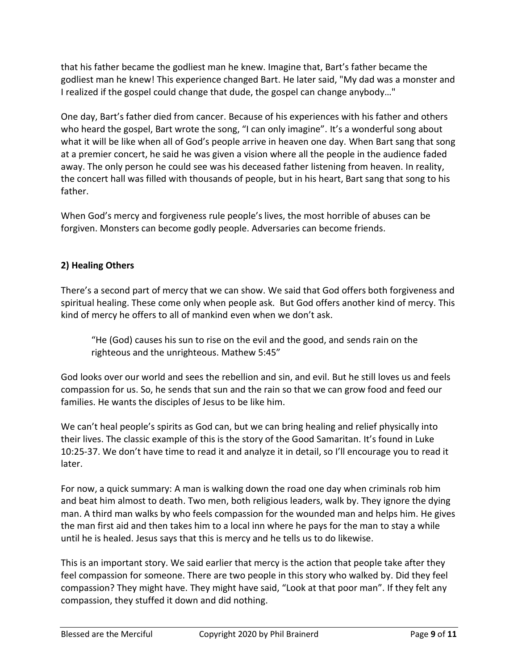that his father became the godliest man he knew. Imagine that, Bart's father became the godliest man he knew! This experience changed Bart. He later said, "My dad was a monster and I realized if the gospel could change that dude, the gospel can change anybody…"

One day, Bart's father died from cancer. Because of his experiences with his father and others who heard the gospel, Bart wrote the song, "I can only imagine". It's a wonderful song about what it will be like when all of God's people arrive in heaven one day. When Bart sang that song at a premier concert, he said he was given a vision where all the people in the audience faded away. The only person he could see was his deceased father listening from heaven. In reality, the concert hall was filled with thousands of people, but in his heart, Bart sang that song to his father.

When God's mercy and forgiveness rule people's lives, the most horrible of abuses can be forgiven. Monsters can become godly people. Adversaries can become friends.

# **2) Healing Others**

There's a second part of mercy that we can show. We said that God offers both forgiveness and spiritual healing. These come only when people ask. But God offers another kind of mercy. This kind of mercy he offers to all of mankind even when we don't ask.

"He (God) causes his sun to rise on the evil and the good, and sends rain on the righteous and the unrighteous. Mathew 5:45"

God looks over our world and sees the rebellion and sin, and evil. But he still loves us and feels compassion for us. So, he sends that sun and the rain so that we can grow food and feed our families. He wants the disciples of Jesus to be like him.

We can't heal people's spirits as God can, but we can bring healing and relief physically into their lives. The classic example of this is the story of the Good Samaritan. It's found in Luke 10:25-37. We don't have time to read it and analyze it in detail, so I'll encourage you to read it later.

For now, a quick summary: A man is walking down the road one day when criminals rob him and beat him almost to death. Two men, both religious leaders, walk by. They ignore the dying man. A third man walks by who feels compassion for the wounded man and helps him. He gives the man first aid and then takes him to a local inn where he pays for the man to stay a while until he is healed. Jesus says that this is mercy and he tells us to do likewise.

This is an important story. We said earlier that mercy is the action that people take after they feel compassion for someone. There are two people in this story who walked by. Did they feel compassion? They might have. They might have said, "Look at that poor man". If they felt any compassion, they stuffed it down and did nothing.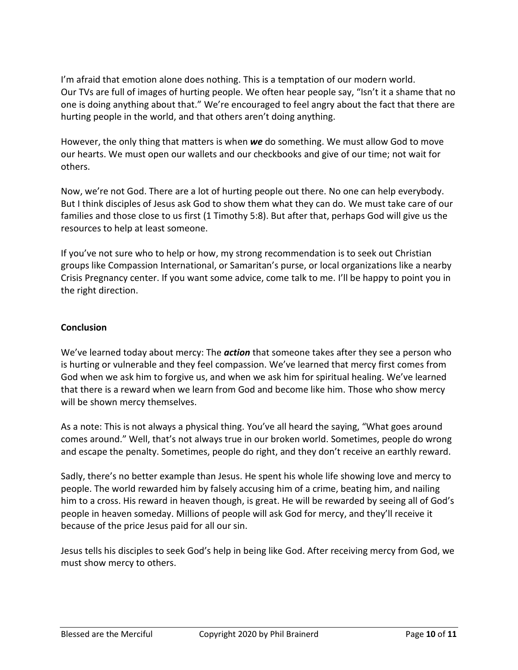I'm afraid that emotion alone does nothing. This is a temptation of our modern world. Our TVs are full of images of hurting people. We often hear people say, "Isn't it a shame that no one is doing anything about that." We're encouraged to feel angry about the fact that there are hurting people in the world, and that others aren't doing anything.

However, the only thing that matters is when *we* do something. We must allow God to move our hearts. We must open our wallets and our checkbooks and give of our time; not wait for others.

Now, we're not God. There are a lot of hurting people out there. No one can help everybody. But I think disciples of Jesus ask God to show them what they can do. We must take care of our families and those close to us first (1 Timothy 5:8). But after that, perhaps God will give us the resources to help at least someone.

If you've not sure who to help or how, my strong recommendation is to seek out Christian groups like Compassion International, or Samaritan's purse, or local organizations like a nearby Crisis Pregnancy center. If you want some advice, come talk to me. I'll be happy to point you in the right direction.

# **Conclusion**

We've learned today about mercy: The *action* that someone takes after they see a person who is hurting or vulnerable and they feel compassion. We've learned that mercy first comes from God when we ask him to forgive us, and when we ask him for spiritual healing. We've learned that there is a reward when we learn from God and become like him. Those who show mercy will be shown mercy themselves.

As a note: This is not always a physical thing. You've all heard the saying, "What goes around comes around." Well, that's not always true in our broken world. Sometimes, people do wrong and escape the penalty. Sometimes, people do right, and they don't receive an earthly reward.

Sadly, there's no better example than Jesus. He spent his whole life showing love and mercy to people. The world rewarded him by falsely accusing him of a crime, beating him, and nailing him to a cross. His reward in heaven though, is great. He will be rewarded by seeing all of God's people in heaven someday. Millions of people will ask God for mercy, and they'll receive it because of the price Jesus paid for all our sin.

Jesus tells his disciples to seek God's help in being like God. After receiving mercy from God, we must show mercy to others.